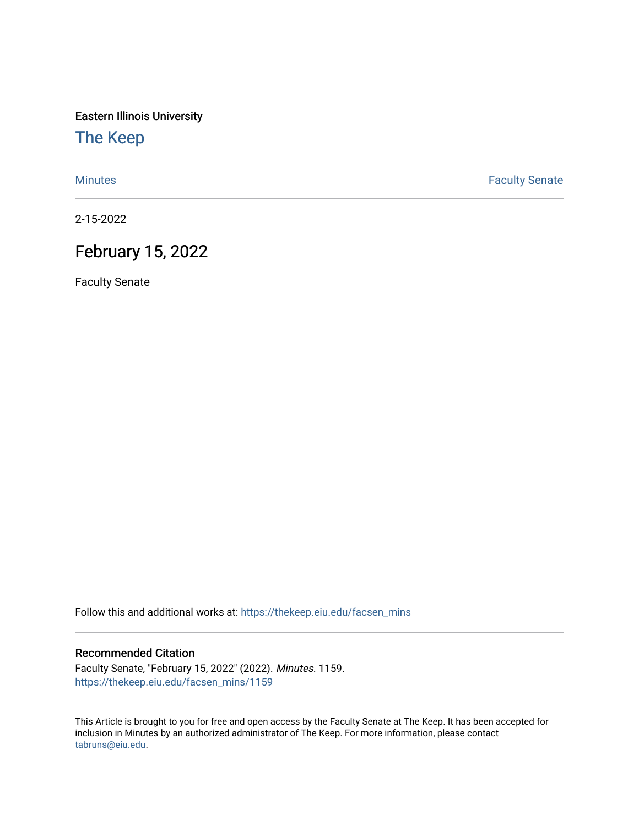Eastern Illinois University

[The Keep](https://thekeep.eiu.edu/) 

[Minutes](https://thekeep.eiu.edu/facsen_mins) **Faculty Senate** 

2-15-2022

## February 15, 2022

Faculty Senate

Follow this and additional works at: [https://thekeep.eiu.edu/facsen\\_mins](https://thekeep.eiu.edu/facsen_mins?utm_source=thekeep.eiu.edu%2Ffacsen_mins%2F1159&utm_medium=PDF&utm_campaign=PDFCoverPages) 

## Recommended Citation

Faculty Senate, "February 15, 2022" (2022). Minutes. 1159. [https://thekeep.eiu.edu/facsen\\_mins/1159](https://thekeep.eiu.edu/facsen_mins/1159?utm_source=thekeep.eiu.edu%2Ffacsen_mins%2F1159&utm_medium=PDF&utm_campaign=PDFCoverPages) 

This Article is brought to you for free and open access by the Faculty Senate at The Keep. It has been accepted for inclusion in Minutes by an authorized administrator of The Keep. For more information, please contact [tabruns@eiu.edu.](mailto:tabruns@eiu.edu)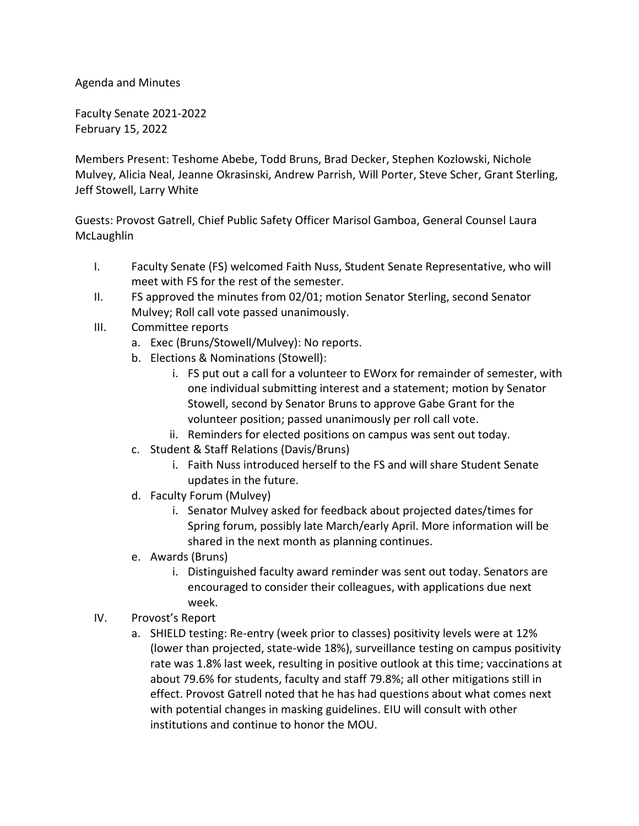Agenda and Minutes

Faculty Senate 2021-2022 February 15, 2022

Members Present: Teshome Abebe, Todd Bruns, Brad Decker, Stephen Kozlowski, Nichole Mulvey, Alicia Neal, Jeanne Okrasinski, Andrew Parrish, Will Porter, Steve Scher, Grant Sterling, Jeff Stowell, Larry White

Guests: Provost Gatrell, Chief Public Safety Officer Marisol Gamboa, General Counsel Laura **McLaughlin** 

- I. Faculty Senate (FS) welcomed Faith Nuss, Student Senate Representative, who will meet with FS for the rest of the semester.
- II. FS approved the minutes from 02/01; motion Senator Sterling, second Senator Mulvey; Roll call vote passed unanimously.
- III. Committee reports
	- a. Exec (Bruns/Stowell/Mulvey): No reports.
	- b. Elections & Nominations (Stowell):
		- i. FS put out a call for a volunteer to EWorx for remainder of semester, with one individual submitting interest and a statement; motion by Senator Stowell, second by Senator Bruns to approve Gabe Grant for the volunteer position; passed unanimously per roll call vote.
		- ii. Reminders for elected positions on campus was sent out today.
	- c. Student & Staff Relations (Davis/Bruns)
		- i. Faith Nuss introduced herself to the FS and will share Student Senate updates in the future.
	- d. Faculty Forum (Mulvey)
		- i. Senator Mulvey asked for feedback about projected dates/times for Spring forum, possibly late March/early April. More information will be shared in the next month as planning continues.
	- e. Awards (Bruns)
		- i. Distinguished faculty award reminder was sent out today. Senators are encouraged to consider their colleagues, with applications due next week.
- IV. Provost's Report
	- a. SHIELD testing: Re-entry (week prior to classes) positivity levels were at 12% (lower than projected, state-wide 18%), surveillance testing on campus positivity rate was 1.8% last week, resulting in positive outlook at this time; vaccinations at about 79.6% for students, faculty and staff 79.8%; all other mitigations still in effect. Provost Gatrell noted that he has had questions about what comes next with potential changes in masking guidelines. EIU will consult with other institutions and continue to honor the MOU.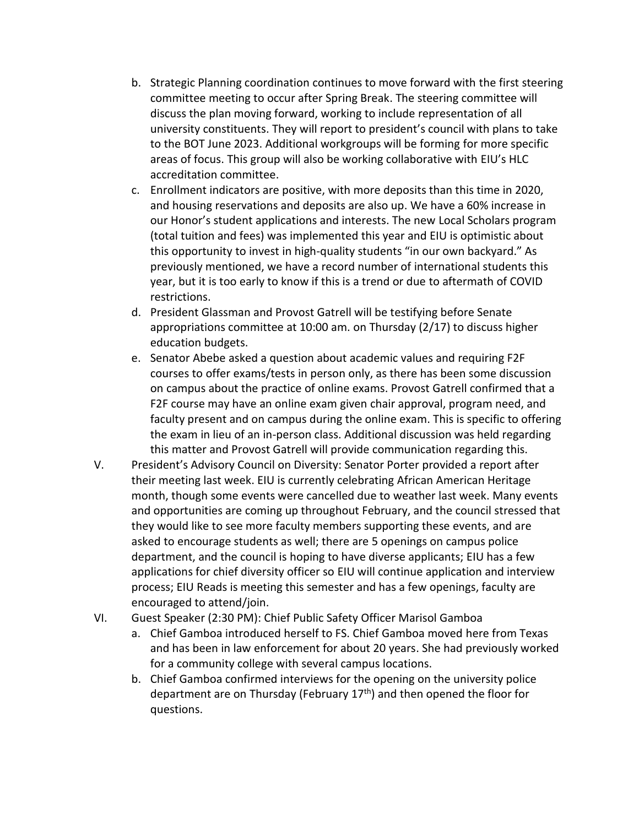- b. Strategic Planning coordination continues to move forward with the first steering committee meeting to occur after Spring Break. The steering committee will discuss the plan moving forward, working to include representation of all university constituents. They will report to president's council with plans to take to the BOT June 2023. Additional workgroups will be forming for more specific areas of focus. This group will also be working collaborative with EIU's HLC accreditation committee.
- c. Enrollment indicators are positive, with more deposits than this time in 2020, and housing reservations and deposits are also up. We have a 60% increase in our Honor's student applications and interests. The new Local Scholars program (total tuition and fees) was implemented this year and EIU is optimistic about this opportunity to invest in high-quality students "in our own backyard." As previously mentioned, we have a record number of international students this year, but it is too early to know if this is a trend or due to aftermath of COVID restrictions.
- d. President Glassman and Provost Gatrell will be testifying before Senate appropriations committee at 10:00 am. on Thursday (2/17) to discuss higher education budgets.
- e. Senator Abebe asked a question about academic values and requiring F2F courses to offer exams/tests in person only, as there has been some discussion on campus about the practice of online exams. Provost Gatrell confirmed that a F2F course may have an online exam given chair approval, program need, and faculty present and on campus during the online exam. This is specific to offering the exam in lieu of an in-person class. Additional discussion was held regarding this matter and Provost Gatrell will provide communication regarding this.
- V. President's Advisory Council on Diversity: Senator Porter provided a report after their meeting last week. EIU is currently celebrating African American Heritage month, though some events were cancelled due to weather last week. Many events and opportunities are coming up throughout February, and the council stressed that they would like to see more faculty members supporting these events, and are asked to encourage students as well; there are 5 openings on campus police department, and the council is hoping to have diverse applicants; EIU has a few applications for chief diversity officer so EIU will continue application and interview process; EIU Reads is meeting this semester and has a few openings, faculty are encouraged to attend/join.
- VI. Guest Speaker (2:30 PM): Chief Public Safety Officer Marisol Gamboa
	- a. Chief Gamboa introduced herself to FS. Chief Gamboa moved here from Texas and has been in law enforcement for about 20 years. She had previously worked for a community college with several campus locations.
	- b. Chief Gamboa confirmed interviews for the opening on the university police department are on Thursday (February  $17<sup>th</sup>$ ) and then opened the floor for questions.